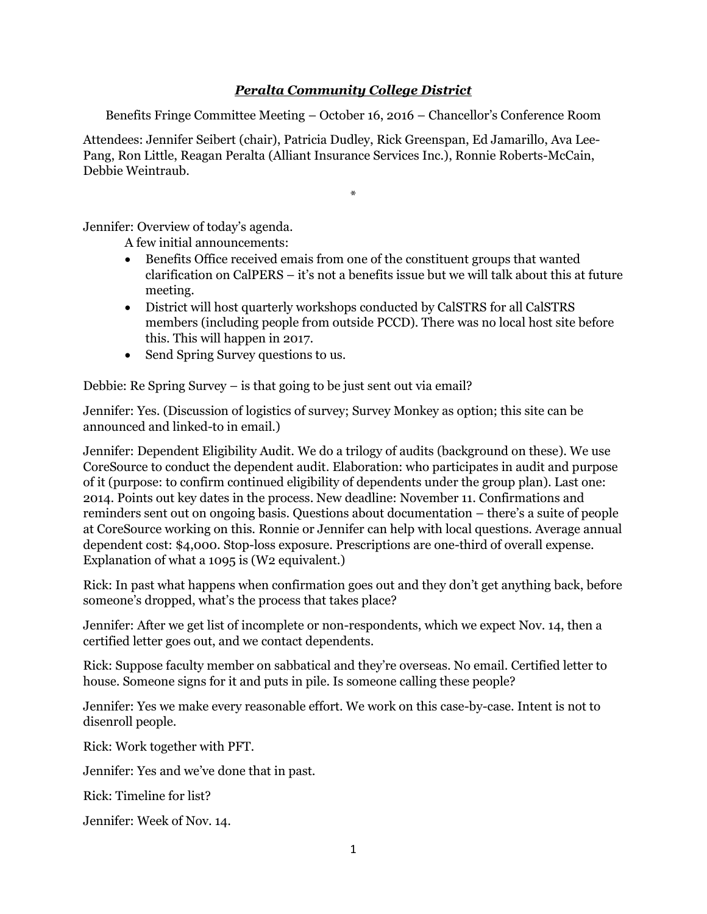## *Peralta Community College District*

Benefits Fringe Committee Meeting – October 16, 2016 – Chancellor's Conference Room

Attendees: Jennifer Seibert (chair), Patricia Dudley, Rick Greenspan, Ed Jamarillo, Ava Lee-Pang, Ron Little, Reagan Peralta (Alliant Insurance Services Inc.), Ronnie Roberts-McCain, Debbie Weintraub.

\*

Jennifer: Overview of today's agenda.

A few initial announcements:

- Benefits Office received emais from one of the constituent groups that wanted clarification on CalPERS – it's not a benefits issue but we will talk about this at future meeting.
- District will host quarterly workshops conducted by CalSTRS for all CalSTRS members (including people from outside PCCD). There was no local host site before this. This will happen in 2017.
- Send Spring Survey questions to us.

Debbie: Re Spring Survey – is that going to be just sent out via email?

Jennifer: Yes. (Discussion of logistics of survey; Survey Monkey as option; this site can be announced and linked-to in email.)

Jennifer: Dependent Eligibility Audit. We do a trilogy of audits (background on these). We use CoreSource to conduct the dependent audit. Elaboration: who participates in audit and purpose of it (purpose: to confirm continued eligibility of dependents under the group plan). Last one: 2014. Points out key dates in the process. New deadline: November 11. Confirmations and reminders sent out on ongoing basis. Questions about documentation – there's a suite of people at CoreSource working on this. Ronnie or Jennifer can help with local questions. Average annual dependent cost: \$4,000. Stop-loss exposure. Prescriptions are one-third of overall expense. Explanation of what a 1095 is (W2 equivalent.)

Rick: In past what happens when confirmation goes out and they don't get anything back, before someone's dropped, what's the process that takes place?

Jennifer: After we get list of incomplete or non-respondents, which we expect Nov. 14, then a certified letter goes out, and we contact dependents.

Rick: Suppose faculty member on sabbatical and they're overseas. No email. Certified letter to house. Someone signs for it and puts in pile. Is someone calling these people?

Jennifer: Yes we make every reasonable effort. We work on this case-by-case. Intent is not to disenroll people.

Rick: Work together with PFT.

Jennifer: Yes and we've done that in past.

Rick: Timeline for list?

Jennifer: Week of Nov. 14.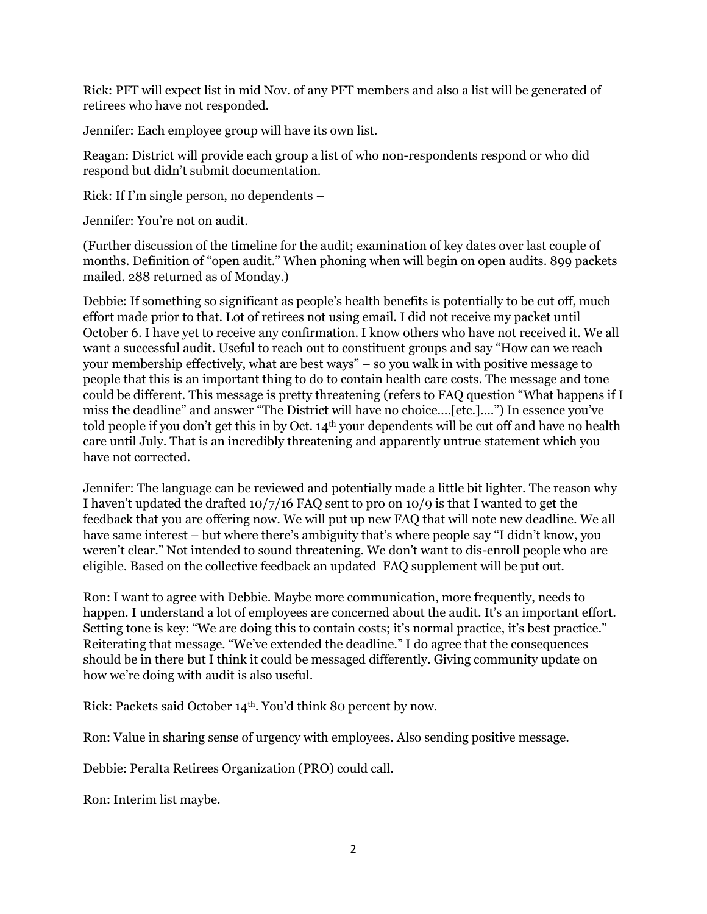Rick: PFT will expect list in mid Nov. of any PFT members and also a list will be generated of retirees who have not responded.

Jennifer: Each employee group will have its own list.

Reagan: District will provide each group a list of who non-respondents respond or who did respond but didn't submit documentation.

Rick: If I'm single person, no dependents –

Jennifer: You're not on audit.

(Further discussion of the timeline for the audit; examination of key dates over last couple of months. Definition of "open audit." When phoning when will begin on open audits. 899 packets mailed. 288 returned as of Monday.)

Debbie: If something so significant as people's health benefits is potentially to be cut off, much effort made prior to that. Lot of retirees not using email. I did not receive my packet until October 6. I have yet to receive any confirmation. I know others who have not received it. We all want a successful audit. Useful to reach out to constituent groups and say "How can we reach your membership effectively, what are best ways" – so you walk in with positive message to people that this is an important thing to do to contain health care costs. The message and tone could be different. This message is pretty threatening (refers to FAQ question "What happens if I miss the deadline" and answer "The District will have no choice….[etc.]….") In essence you've told people if you don't get this in by Oct. 14<sup>th</sup> your dependents will be cut off and have no health care until July. That is an incredibly threatening and apparently untrue statement which you have not corrected.

Jennifer: The language can be reviewed and potentially made a little bit lighter. The reason why I haven't updated the drafted 10/7/16 FAQ sent to pro on 10/9 is that I wanted to get the feedback that you are offering now. We will put up new FAQ that will note new deadline. We all have same interest – but where there's ambiguity that's where people say "I didn't know, you weren't clear." Not intended to sound threatening. We don't want to dis-enroll people who are eligible. Based on the collective feedback an updated FAQ supplement will be put out.

Ron: I want to agree with Debbie. Maybe more communication, more frequently, needs to happen. I understand a lot of employees are concerned about the audit. It's an important effort. Setting tone is key: "We are doing this to contain costs; it's normal practice, it's best practice." Reiterating that message. "We've extended the deadline." I do agree that the consequences should be in there but I think it could be messaged differently. Giving community update on how we're doing with audit is also useful.

Rick: Packets said October 14th. You'd think 80 percent by now.

Ron: Value in sharing sense of urgency with employees. Also sending positive message.

Debbie: Peralta Retirees Organization (PRO) could call.

Ron: Interim list maybe.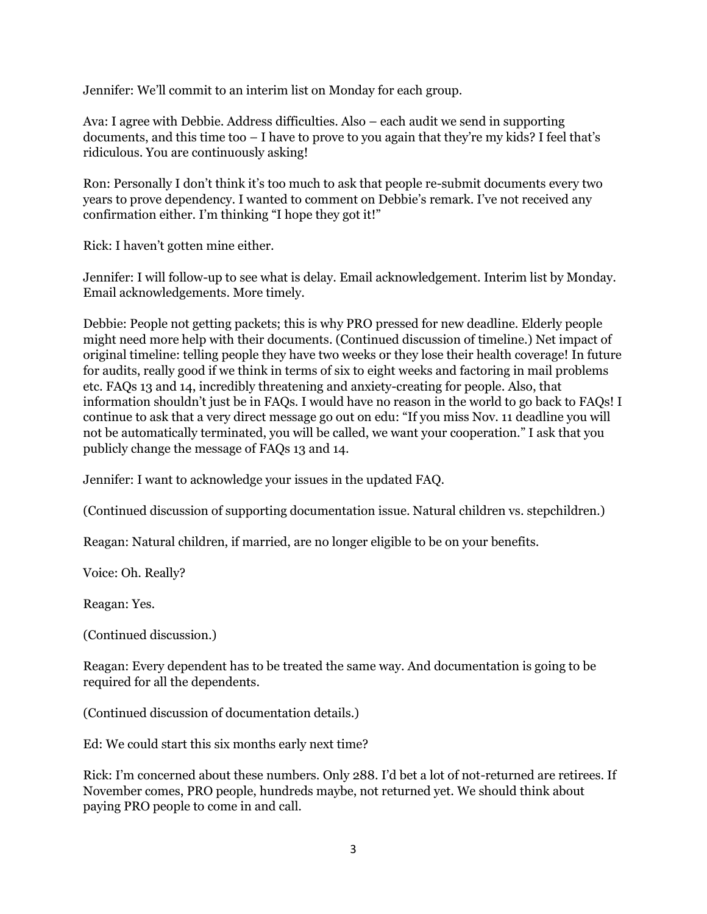Jennifer: We'll commit to an interim list on Monday for each group.

Ava: I agree with Debbie. Address difficulties. Also – each audit we send in supporting documents, and this time too – I have to prove to you again that they're my kids? I feel that's ridiculous. You are continuously asking!

Ron: Personally I don't think it's too much to ask that people re-submit documents every two years to prove dependency. I wanted to comment on Debbie's remark. I've not received any confirmation either. I'm thinking "I hope they got it!"

Rick: I haven't gotten mine either.

Jennifer: I will follow-up to see what is delay. Email acknowledgement. Interim list by Monday. Email acknowledgements. More timely.

Debbie: People not getting packets; this is why PRO pressed for new deadline. Elderly people might need more help with their documents. (Continued discussion of timeline.) Net impact of original timeline: telling people they have two weeks or they lose their health coverage! In future for audits, really good if we think in terms of six to eight weeks and factoring in mail problems etc. FAQs 13 and 14, incredibly threatening and anxiety-creating for people. Also, that information shouldn't just be in FAQs. I would have no reason in the world to go back to FAQs! I continue to ask that a very direct message go out on edu: "If you miss Nov. 11 deadline you will not be automatically terminated, you will be called, we want your cooperation." I ask that you publicly change the message of FAQs 13 and 14.

Jennifer: I want to acknowledge your issues in the updated FAQ.

(Continued discussion of supporting documentation issue. Natural children vs. stepchildren.)

Reagan: Natural children, if married, are no longer eligible to be on your benefits.

Voice: Oh. Really?

Reagan: Yes.

(Continued discussion.)

Reagan: Every dependent has to be treated the same way. And documentation is going to be required for all the dependents.

(Continued discussion of documentation details.)

Ed: We could start this six months early next time?

Rick: I'm concerned about these numbers. Only 288. I'd bet a lot of not-returned are retirees. If November comes, PRO people, hundreds maybe, not returned yet. We should think about paying PRO people to come in and call.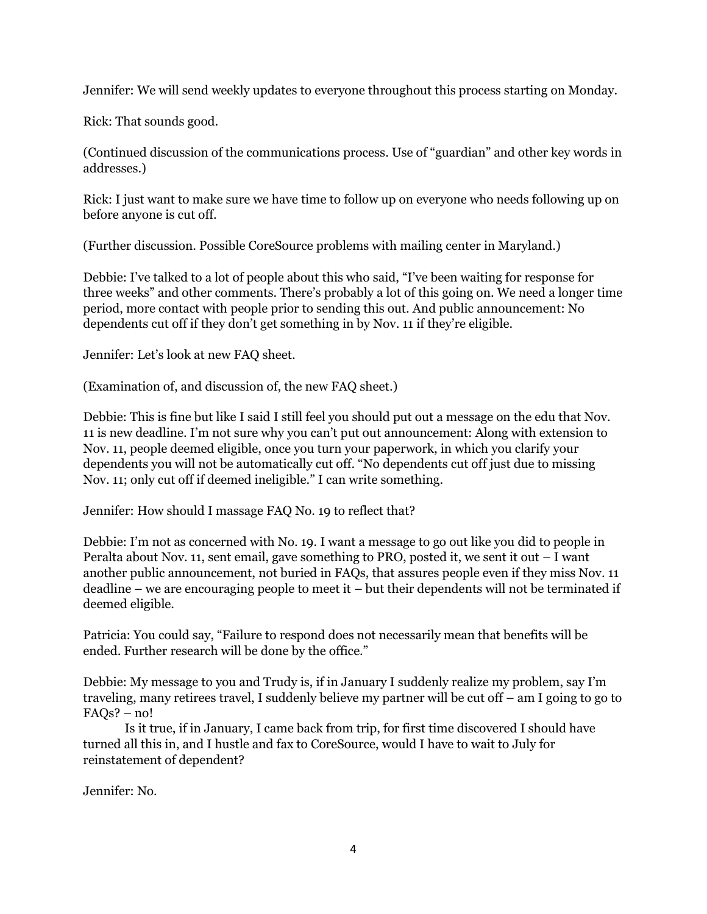Jennifer: We will send weekly updates to everyone throughout this process starting on Monday.

Rick: That sounds good.

(Continued discussion of the communications process. Use of "guardian" and other key words in addresses.)

Rick: I just want to make sure we have time to follow up on everyone who needs following up on before anyone is cut off.

(Further discussion. Possible CoreSource problems with mailing center in Maryland.)

Debbie: I've talked to a lot of people about this who said, "I've been waiting for response for three weeks" and other comments. There's probably a lot of this going on. We need a longer time period, more contact with people prior to sending this out. And public announcement: No dependents cut off if they don't get something in by Nov. 11 if they're eligible.

Jennifer: Let's look at new FAQ sheet.

(Examination of, and discussion of, the new FAQ sheet.)

Debbie: This is fine but like I said I still feel you should put out a message on the edu that Nov. 11 is new deadline. I'm not sure why you can't put out announcement: Along with extension to Nov. 11, people deemed eligible, once you turn your paperwork, in which you clarify your dependents you will not be automatically cut off. "No dependents cut off just due to missing Nov. 11; only cut off if deemed ineligible." I can write something.

Jennifer: How should I massage FAQ No. 19 to reflect that?

Debbie: I'm not as concerned with No. 19. I want a message to go out like you did to people in Peralta about Nov. 11, sent email, gave something to PRO, posted it, we sent it out – I want another public announcement, not buried in FAQs, that assures people even if they miss Nov. 11 deadline – we are encouraging people to meet it – but their dependents will not be terminated if deemed eligible.

Patricia: You could say, "Failure to respond does not necessarily mean that benefits will be ended. Further research will be done by the office."

Debbie: My message to you and Trudy is, if in January I suddenly realize my problem, say I'm traveling, many retirees travel, I suddenly believe my partner will be cut off – am I going to go to  $FAOs? - no!$ 

Is it true, if in January, I came back from trip, for first time discovered I should have turned all this in, and I hustle and fax to CoreSource, would I have to wait to July for reinstatement of dependent?

Jennifer: No.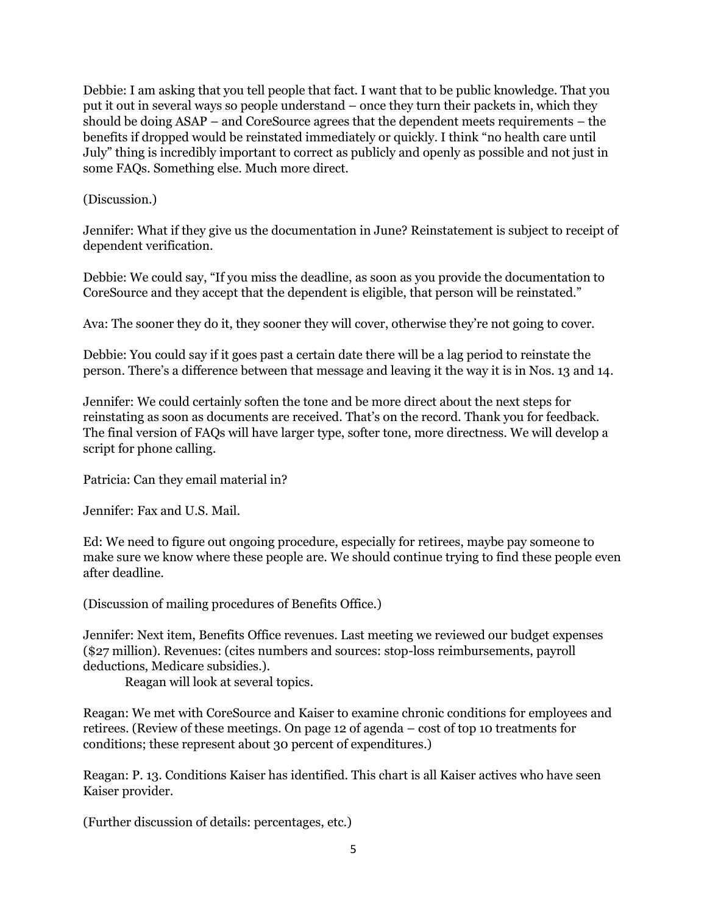Debbie: I am asking that you tell people that fact. I want that to be public knowledge. That you put it out in several ways so people understand – once they turn their packets in, which they should be doing ASAP – and CoreSource agrees that the dependent meets requirements – the benefits if dropped would be reinstated immediately or quickly. I think "no health care until July" thing is incredibly important to correct as publicly and openly as possible and not just in some FAQs. Something else. Much more direct.

## (Discussion.)

Jennifer: What if they give us the documentation in June? Reinstatement is subject to receipt of dependent verification.

Debbie: We could say, "If you miss the deadline, as soon as you provide the documentation to CoreSource and they accept that the dependent is eligible, that person will be reinstated."

Ava: The sooner they do it, they sooner they will cover, otherwise they're not going to cover.

Debbie: You could say if it goes past a certain date there will be a lag period to reinstate the person. There's a difference between that message and leaving it the way it is in Nos. 13 and 14.

Jennifer: We could certainly soften the tone and be more direct about the next steps for reinstating as soon as documents are received. That's on the record. Thank you for feedback. The final version of FAQs will have larger type, softer tone, more directness. We will develop a script for phone calling.

Patricia: Can they email material in?

Jennifer: Fax and U.S. Mail.

Ed: We need to figure out ongoing procedure, especially for retirees, maybe pay someone to make sure we know where these people are. We should continue trying to find these people even after deadline.

(Discussion of mailing procedures of Benefits Office.)

Jennifer: Next item, Benefits Office revenues. Last meeting we reviewed our budget expenses (\$27 million). Revenues: (cites numbers and sources: stop-loss reimbursements, payroll deductions, Medicare subsidies.).

Reagan will look at several topics.

Reagan: We met with CoreSource and Kaiser to examine chronic conditions for employees and retirees. (Review of these meetings. On page 12 of agenda – cost of top 10 treatments for conditions; these represent about 30 percent of expenditures.)

Reagan: P. 13. Conditions Kaiser has identified. This chart is all Kaiser actives who have seen Kaiser provider.

(Further discussion of details: percentages, etc.)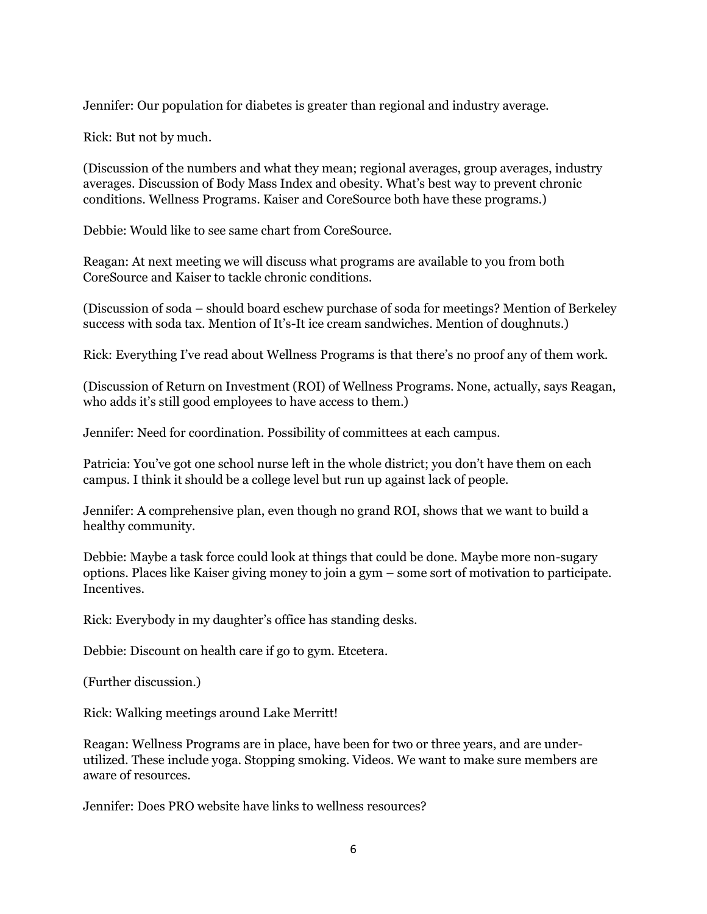Jennifer: Our population for diabetes is greater than regional and industry average.

Rick: But not by much.

(Discussion of the numbers and what they mean; regional averages, group averages, industry averages. Discussion of Body Mass Index and obesity. What's best way to prevent chronic conditions. Wellness Programs. Kaiser and CoreSource both have these programs.)

Debbie: Would like to see same chart from CoreSource.

Reagan: At next meeting we will discuss what programs are available to you from both CoreSource and Kaiser to tackle chronic conditions.

(Discussion of soda – should board eschew purchase of soda for meetings? Mention of Berkeley success with soda tax. Mention of It's-It ice cream sandwiches. Mention of doughnuts.)

Rick: Everything I've read about Wellness Programs is that there's no proof any of them work.

(Discussion of Return on Investment (ROI) of Wellness Programs. None, actually, says Reagan, who adds it's still good employees to have access to them.)

Jennifer: Need for coordination. Possibility of committees at each campus.

Patricia: You've got one school nurse left in the whole district; you don't have them on each campus. I think it should be a college level but run up against lack of people.

Jennifer: A comprehensive plan, even though no grand ROI, shows that we want to build a healthy community.

Debbie: Maybe a task force could look at things that could be done. Maybe more non-sugary options. Places like Kaiser giving money to join a gym – some sort of motivation to participate. Incentives.

Rick: Everybody in my daughter's office has standing desks.

Debbie: Discount on health care if go to gym. Etcetera.

(Further discussion.)

Rick: Walking meetings around Lake Merritt!

Reagan: Wellness Programs are in place, have been for two or three years, and are underutilized. These include yoga. Stopping smoking. Videos. We want to make sure members are aware of resources.

Jennifer: Does PRO website have links to wellness resources?